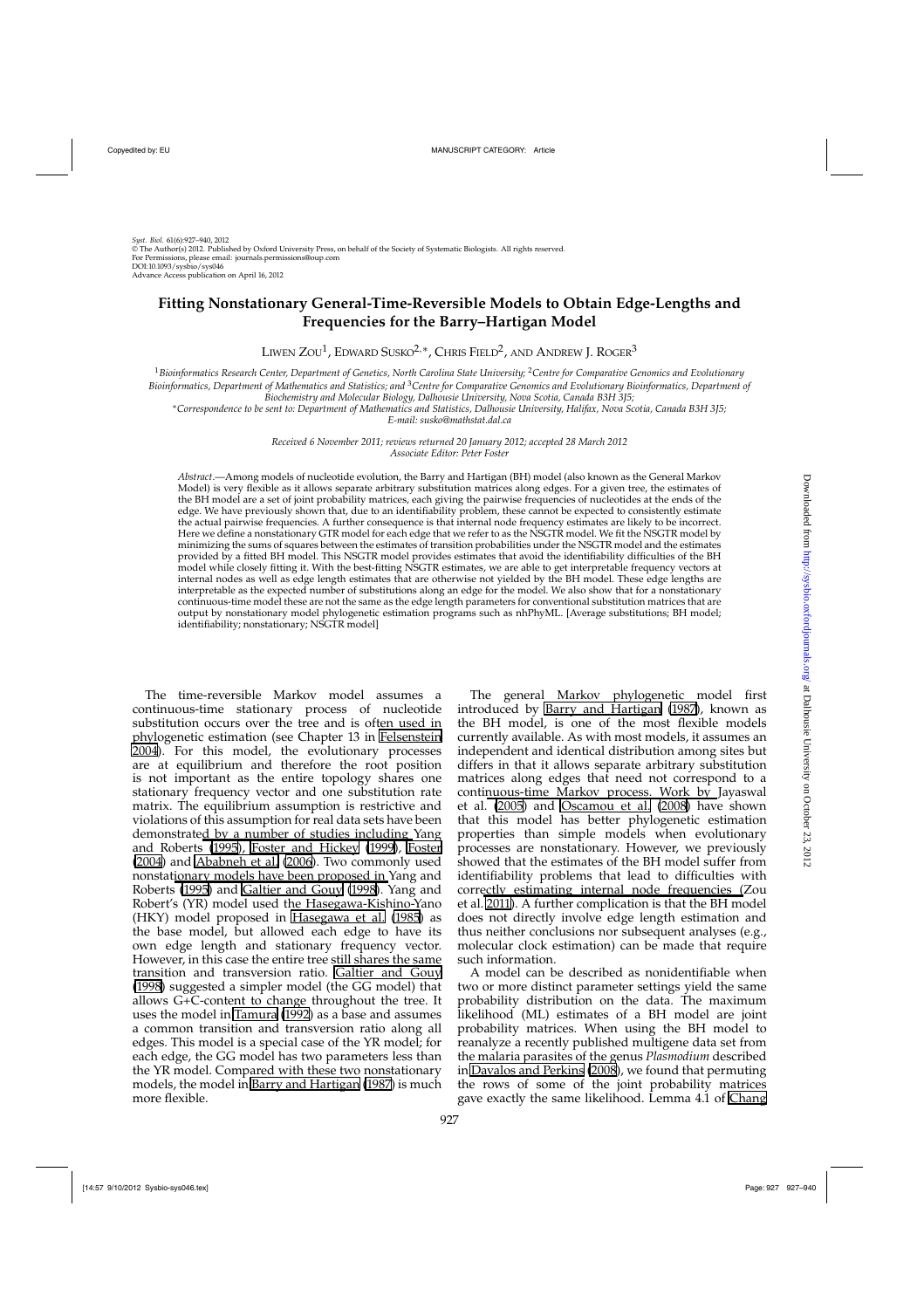# **Fitting Nonstationary General-Time-Reversible Models to Obtain Edge-Lengths and Frequencies for the Barry–Hartigan Model**

LIWEN  $Zov<sup>1</sup>$ , EDWARD SUSKO<sup>2,\*</sup>, CHRIS FIELD<sup>2</sup>, AND ANDREW J. ROGER<sup>3</sup>

<sup>1</sup>*Bioinformatics Research Center, Department of Genetics, North Carolina State University;* <sup>2</sup>*Centre for Comparative Genomics and Evolutionary Bioinformatics, Department of Mathematics and Statistics; and* <sup>3</sup>*Centre for Comparative Genomics and Evolutionary Bioinformatics, Department of*

\*Correspondence to be sent to: Department of Mathematics and Statistics, Dalhousie University, Halifax, Nova Scotia, Canada B3H 3J5; *E-mail: susko@mathstat.dal.ca*

> *Received 6 November 2011; reviews returned 20 January 2012; accepted 28 March 2012 Associate Editor: Peter Foster*

*Abstract*.—Among models of nucleotide evolution, the Barry and Hartigan (BH) model (also known as the General Markov Model) is very flexible as it allows separate arbitrary substitution matrices along edges. For a given tree, the estimates of the BH model are a set of joint probability matrices, each giving the pairwise frequencies of nucleotides at the ends of the edge. We have previously shown that, due to an identifiability problem, these cannot be expected to consistently estimate the actual pairwise frequencies. A further consequence is that internal node frequency estimates are likely to be incorrect. Here we define a nonstationary GTR model for each edge that we refer to as the NSGTR model. We fit the NSGTR model by minimizing the sums of squares between the estimates of transition probabilities under the NSGTR model and the estimates provided by a fitted BH model. This NSGTR model provides estimates that avoid the identifiability difficulties of the BH model while closely fitting it. With the best-fitting NSGTR estimates, we are able to get interpretable frequency vectors at internal nodes as well as edge length estimates that are otherwise not yielded by the BH model. These edge lengths are interpretable as the expected number of substitutions along an edge for the model. We also show that for a nonstationary continuous-time model these are not the same as the edge length parameters for conventional substitution matrices that are output by nonstationary model phylogenetic estimation programs such as nhPhyML. [Average substitutions; BH model; identifiability; nonstationary; NSGTR model]

The time-reversible Markov model assumes a continuous-time stationary process of nucleotide substitution occurs over the tree and is often used in phylogenetic estimation (see Chapter 13 in [Felsenstein](#page-12-0) [2004\)](#page-12-0). For this model, the evolutionary processes are at equilibrium and therefore the root position is not important as the entire topology shares one stationary frequency vector and one substitution rate matrix. The equilibrium assumption is restrictive and violations of this assumption for real data sets have been demonstrate[d by a number of studies including](#page-13-0) Yang and Roberts [\(1995\)](#page-13-0), [Foster and Hickey](#page-12-0) [\(1999](#page-12-0)), [Foster](#page-12-0) [\(2004\)](#page-12-0) and [Ababneh et al.](#page-12-0) [\(2006](#page-12-0)). Two commonly used nonstat[ionary models have been proposed in](#page-13-0) Yang and Roberts [\(1995\)](#page-13-0) and [Galtier and Gouy](#page-12-0) [\(1998\)](#page-12-0). Yang and Robert's (YR) model used the Hasegawa-Kishino-Yano (HKY) model proposed in [Hasegawa et al.](#page-13-0) [\(1985](#page-13-0)) as the base model, but allowed each edge to have its own edge length and stationary frequency vector. However, in this case the entire tree still shares the same transition and transversion ratio. [Galtier and Gouy](#page-12-0) [\(1998](#page-12-0)) suggested a simpler model (the GG model) that allows G+C-content to change throughout the tree. It uses the model in [Tamura](#page-13-0) [\(1992](#page-13-0)) as a base and assumes a common transition and transversion ratio along all edges. This model is a special case of the YR model; for each edge, the GG model has two parameters less than the YR model. Compared with these two nonstationary models, the model in [Barry and Hartigan](#page-12-0) [\(1987\)](#page-12-0) is much more flexible.

The general Markov phylogenetic model first introduced by [Barry and Hartigan](#page-12-0) [\(1987](#page-12-0)), known as the BH model, is one of the most flexible models currently available. As with most models, it assumes an independent and identical distribution among sites but differs in that it allows separate arbitrary substitution matrices along edges that need not correspond to a conti[nuous-time](#page-13-0) [Markov](#page-13-0) [process.](#page-13-0) [Work](#page-13-0) [by](#page-13-0) Jayaswal et al. [\(2005\)](#page-13-0) and [Oscamou et al.](#page-13-0) [\(2008\)](#page-13-0) have shown that this model has better phylogenetic estimation properties than simple models when evolutionary processes are nonstationary. However, we previously showed that the estimates of the BH model suffer from identifiability problems that lead to difficulties with corr[ectly estimating internal node frequencies \(](#page-13-0)Zou et al. [2011](#page-13-0)). A further complication is that the BH model does not directly involve edge length estimation and thus neither conclusions nor subsequent analyses (e.g., molecular clock estimation) can be made that require such information.

A model can be described as nonidentifiable when two or more distinct parameter settings yield the same probability distribution on the data. The maximum likelihood (ML) estimates of a BH model are joint probability matrices. When using the BH model to reanalyze a recently published multigene data set from the malaria parasites of the genus *Plasmodium* described in [Davalos and Perkins](#page-12-0) [\(2008](#page-12-0)), we found that permuting the rows of some of the joint probability matrices gave exactly the same likelihood. Lemma 4.1 of [Chang](#page-12-0)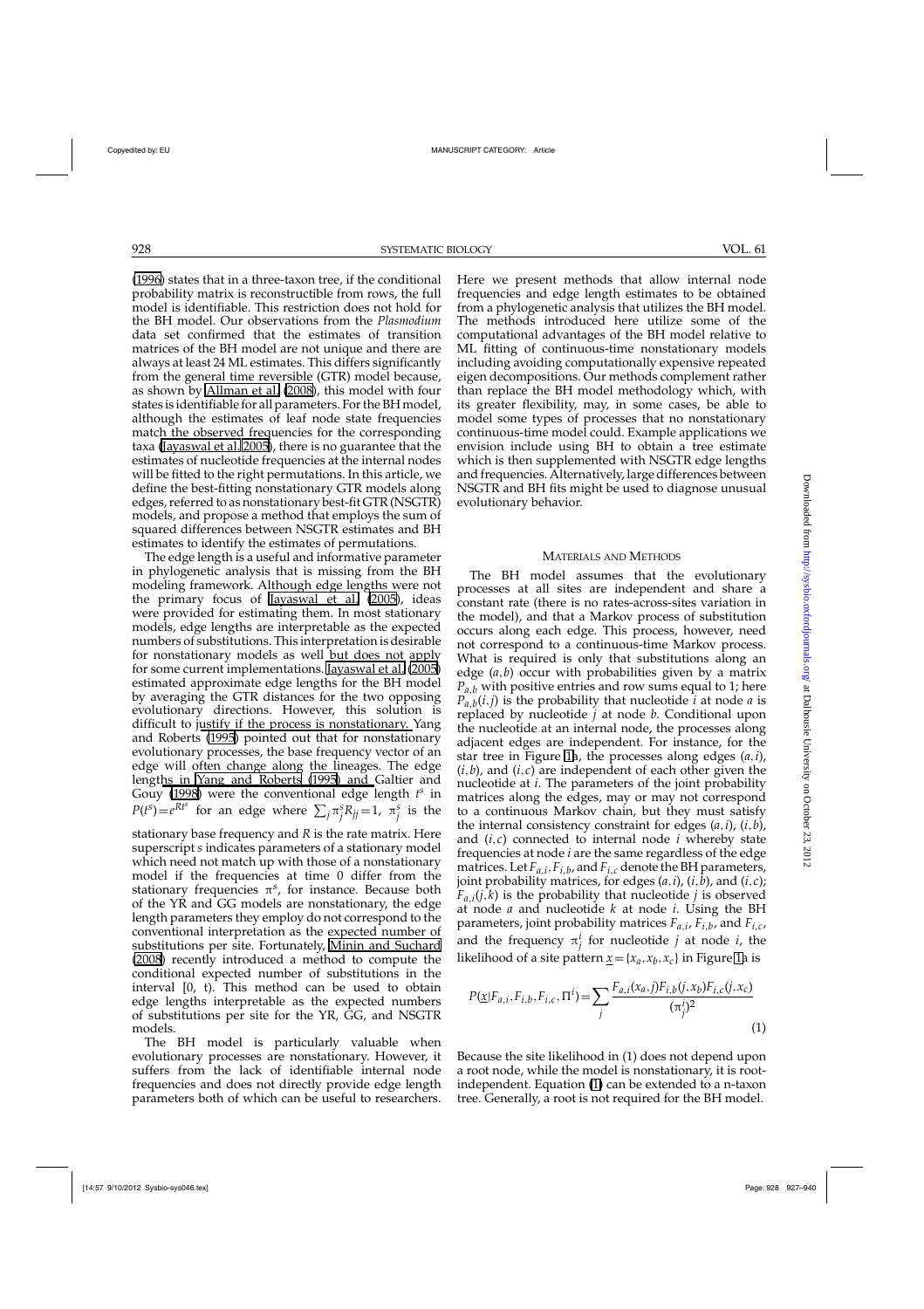[\(1996](#page-12-0)) states that in a three-taxon tree, if the conditional probability matrix is reconstructible from rows, the full model is identifiable. This restriction does not hold for the BH model. Our observations from the *Plasmodium* data set confirmed that the estimates of transition matrices of the BH model are not unique and there are always at least 24 ML estimates. This differs significantly from the general time reversible (GTR) model because, as shown by [Allman et al.](#page-12-0) [\(2008\)](#page-12-0), this model with four states is identifiable for all parameters. For the BH model, although the estimates of leaf node state frequencies match the observed frequencies for the corresponding taxa [\(Jayaswal et al. 2005](#page-13-0)), there is no guarantee that the estimates of nucleotide frequencies at the internal nodes will be fitted to the right permutations. In this article, we define the best-fitting nonstationary GTR models along edges, referred to as nonstationary best-fit GTR (NSGTR) models, and propose a method that employs the sum of squared differences between NSGTR estimates and BH estimates to identify the estimates of permutations.

The edge length is a useful and informative parameter in phylogenetic analysis that is missing from the BH modeling framework. Although edge lengths were not the primary focus of [Jayaswal et al.](#page-13-0) [\(2005\)](#page-13-0), ideas were provided for estimating them. In most stationary models, edge lengths are interpretable as the expected numbers of substitutions. This interpretation is desirable for nonstationary models as well but does not apply for some current implementations. [Jayaswal et al.](#page-13-0) [\(2005\)](#page-13-0) estimated approximate edge lengths for the BH model by averaging the GTR distances for the two opposing evolutionary directions. However, this solution is difficult to j[ustify if the process is nonstationary.](#page-13-0) Yang and Roberts [\(1995](#page-13-0)) pointed out that for nonstationary evolutionary processes, the base frequency vector of an edge will often change along the lineages. The edge lengt[hs in](#page-12-0) [Yang and Roberts](#page-13-0)[\(1995](#page-13-0)[\) and](#page-12-0) Galtier and Gouy [\(1998](#page-12-0)) were the conventional edge length *t <sup>s</sup>* in  $P(t^s) = e^{Rt^s}$  for an edge where  $\sum_j \pi_j^s R_{jj} = 1$ ,  $\pi_j^s$  is the

stationary base frequency and *R* is the rate matrix. Here superscript *s* indicates parameters of a stationary model which need not match up with those of a nonstationary model if the frequencies at time 0 differ from the stationary frequencies  $\pi^s$ , for instance. Because both of the YR and GG models are nonstationary, the edge length parameters they employ do not correspond to the conventional interpretation as the expected number of substitutions per site. Fortunately, [Minin and Suchard](#page-13-0) [\(2008\)](#page-13-0) recently introduced a method to compute the conditional expected number of substitutions in the interval [0, t). This method can be used to obtain edge lengths interpretable as the expected numbers of substitutions per site for the YR, GG, and NSGTR models.

The BH model is particularly valuable when evolutionary processes are nonstationary. However, it suffers from the lack of identifiable internal node frequencies and does not directly provide edge length parameters both of which can be useful to researchers.

Here we present methods that allow internal node frequencies and edge length estimates to be obtained from a phylogenetic analysis that utilizes the BH model. The methods introduced here utilize some of the computational advantages of the BH model relative to ML fitting of continuous-time nonstationary models including avoiding computationally expensive repeated eigen decompositions. Our methods complement rather than replace the BH model methodology which, with its greater flexibility, may, in some cases, be able to model some types of processes that no nonstationary continuous-time model could. Example applications we envision include using BH to obtain a tree estimate which is then supplemented with NSGTR edge lengths and frequencies. Alternatively, large differences between NSGTR and BH fits might be used to diagnose unusual evolutionary behavior.

#### MATERIALS AND METHODS

The BH model assumes that the evolutionary processes at all sites are independent and share a constant rate (there is no rates-across-sites variation in the model), and that a Markov process of substitution occurs along each edge. This process, however, need not correspond to a continuous-time Markov process. What is required is only that substitutions along an edge (*a*,*b*) occur with probabilities given by a matrix  $P_{a,b}$  with positive entries and row sums equal to 1; here  $P_{a,b}(i,j)$  is the probability that nucleotide *i* at node *a* is replaced by nucleotide *j* at node *b*. Conditional upon the nucleotide at an internal node, the processes along adjacent edges are independent. For instance, for the star tree in Figure [1a](#page-2-0), the processes along edges (*a*,*i*),  $(i, b)$ , and  $(i, c)$  are independent of each other given the nucleotide at *i*. The parameters of the joint probability matrices along the edges, may or may not correspond to a continuous Markov chain, but they must satisfy the internal consistency constraint for edges (*a*,*i*), (*i*,*b*), and (*i*,*c*) connected to internal node *i* whereby state frequencies at node *i* are the same regardless of the edge matrices. Let *Fa*,*i*,*Fi*,*b*, and *Fi*,*<sup>c</sup>* denote the BH parameters, joint probability matrices, for edges (*a*,*i*), (*i*,*b*), and (*i*,*c*);  $F_{a,i}(j,k)$  is the probability that nucleotide *j* is observed at node *a* and nucleotide *k* at node *i*. Using the BH parameters, joint probability matrices  $F_{a,i}$ ,  $F_{i,b}$ , and  $F_{i,c}$ , and the frequency  $\pi^i_j$  for nucleotide *j* at node *i*, the likelihood of a site pattern  $\underline{x} = \{x_a, x_b, x_c\}$  in Figure [1a](#page-2-0) is

$$
P(\underline{x}|F_{a,i}, F_{i,b}, F_{i,c}, \Pi^i) = \sum_j \frac{F_{a,i}(x_a, j)F_{i,b}(j, x_b)F_{i,c}(j, x_c)}{(\pi_j^i)^2}
$$
\n(1)

Because the site likelihood in (1) does not depend upon a root node, while the model is nonstationary, it is rootindependent. Equation (1) can be extended to a n-taxon tree. Generally, a root is not required for the BH model.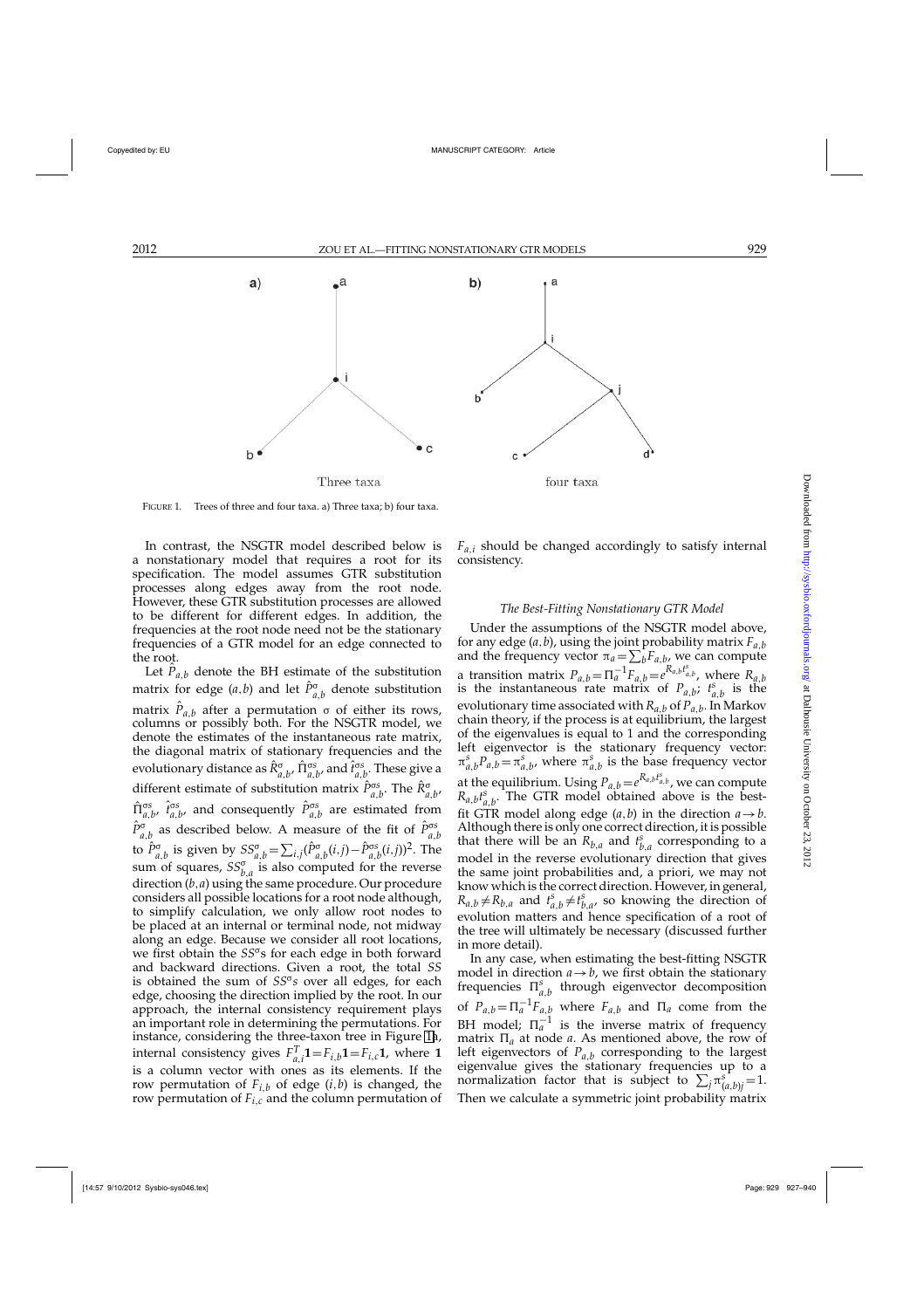<span id="page-2-0"></span>

FIGURE 1. Trees of three and four taxa. a) Three taxa; b) four taxa.

In contrast, the NSGTR model described below is a nonstationary model that requires a root for its specification. The model assumes GTR substitution processes along edges away from the root node. However, these GTR substitution processes are allowed to be different for different edges. In addition, the frequencies at the root node need not be the stationary frequencies of a GTR model for an edge connected to the root.

Let  $\ddot{P}_{a,b}$  denote the BH estimate of the substitution matrix for edge  $(a,b)$  and let  $\hat{P}^{\sigma}_{a,b}$  denote substitution matrix  $\ddot{P}_{a,b}$  after a permutation  $\sigma$  of either its rows, columns or possibly both. For the NSGTR model, we denote the estimates of the instantaneous rate matrix, the diagonal matrix of stationary frequencies and the evolutionary distance as  $\hat{R}^{\sigma}_{a,b'}$   $\hat{\Pi}^{\sigma s}_{a,b'}$  and  $\hat{t}^{\sigma s}_{a,b}$ . These give a different estimate of substitution matrix  $\hat{P}_{a,b}^{\sigma s}$ . The  $\hat{R}_{a,b'}^{\sigma}$  $\hat{\Pi}^{\sigma s}_{a,b'}$ ,  $\hat{t}^{\sigma s}_{a,b'}$  and consequently  $\hat{P}^{\sigma s}_{a,b}$  are estimated from  $\hat{P}_{a,b}^{\sigma}$  as described below. A measure of the fit of  $\hat{P}_{a,b}^{\sigma s}$ to  $\hat{P}_{a,b}^{\sigma}$  is given by  $SS_{a,b}^{\sigma} = \sum_{i,j} (\hat{P}_{a,b}^{\sigma}(i,j) - \hat{P}_{a,b}^{\sigma s}(i,j))^2$ . The sum of squares,  $SS_{b,a}^{\sigma}$  is also computed for the reverse direction (*b*,*a*) using the same procedure. Our procedure considers all possible locations for a root node although, to simplify calculation, we only allow root nodes to be placed at an internal or terminal node, not midway along an edge. Because we consider all root locations, we first obtain the *SS<sup>o</sup>s* for each edge in both forward and backward directions. Given a root, the total *SS* is obtained the sum of *SSs* over all edges, for each edge, choosing the direction implied by the root. In our approach, the internal consistency requirement plays an important role in determining the permutations. For instance, considering the three-taxon tree in Figure 1a, internal consistency gives  $F_{a,i}^T \mathbf{1} = F_{i,b} \mathbf{1} = F_{i,c} \mathbf{1}$ , where  $\mathbf{1}$ is a column vector with ones as its elements. If the row permutation of  $F_{i,b}$  of edge  $(i,b)$  is changed, the row permutation of  $F_{i,c}$  and the column permutation of

 $F_{a,i}$  should be changed accordingly to satisfy internal consistency.

## *The Best-Fitting Nonstationary GTR Model*

Under the assumptions of the NSGTR model above, for any edge  $(a, b)$ , using the joint probability matrix  $F_{a, b}$ and the frequency vector  $\pi_a = \sum_b F_{a,b}$ , we can compute a transition matrix  $P_{a,b} = \Pi_a^{-1} F_{a,b} = e^{R_{a,b} t_{a,b}^s}$ , where  $R_{a,b}$ is the instantaneous rate matrix of  $P_{a,b}$ ;  $t_{a,b}^s$  is the evolutionary time associated with  $R_{a,b}$  of  $P_{a,b}$ . In Markov chain theory, if the process is at equilibrium, the largest of the eigenvalues is equal to 1 and the corresponding left eigenvector is the stationary frequency vector:  $\pi_{a,b}^s P_{a,b} = \pi_{a,b}^s$ , where  $\pi_{a,b}^s$  is the base frequency vector at the equilibrium. Using  $P_{a,b} = e^{R_{a,b}t_{a,b}^s}$ , we can compute  $R_{a,b}t_{a,b}^s$ . The GTR model obtained above is the bestfit GTR model along edge  $(a, b)$  in the direction  $a \rightarrow b$ . Although there is only one correct direction, it is possible that there will be an  $R_{b,a}$  and  $t_{b,a}^s$  corresponding to a model in the reverse evolutionary direction that gives the same joint probabilities and, a priori, we may not know which is the correct direction. However, in general,  $R_{a,b} \neq R_{b,a}$  and  $t_{a,b}^s \neq t_{b,a'}^s$  so knowing the direction of evolution matters and hence specification of a root of the tree will ultimately be necessary (discussed further in more detail).

In any case, when estimating the best-fitting NSGTR model in direction  $a \rightarrow b$ , we first obtain the stationary frequencies  $\Pi_{a,b}^s$  through eigenvector decomposition of  $P_{a,b} = \Pi_a^{-1} F_{a,b}$  where  $F_{a,b}$  and  $\Pi_a$  come from the BH model;  $\Pi_a^{-1}$  is the inverse matrix of frequency matrix  $\Pi_a$  at node *a*. As mentioned above, the row of left eigenvectors of *Pa*,*<sup>b</sup>* corresponding to the largest eigenvalue gives the stationary frequencies up to a normalization factor that is subject to  $\sum_j \pi^s_{(a,b)j} = 1$ . Then we calculate a symmetric joint probability matrix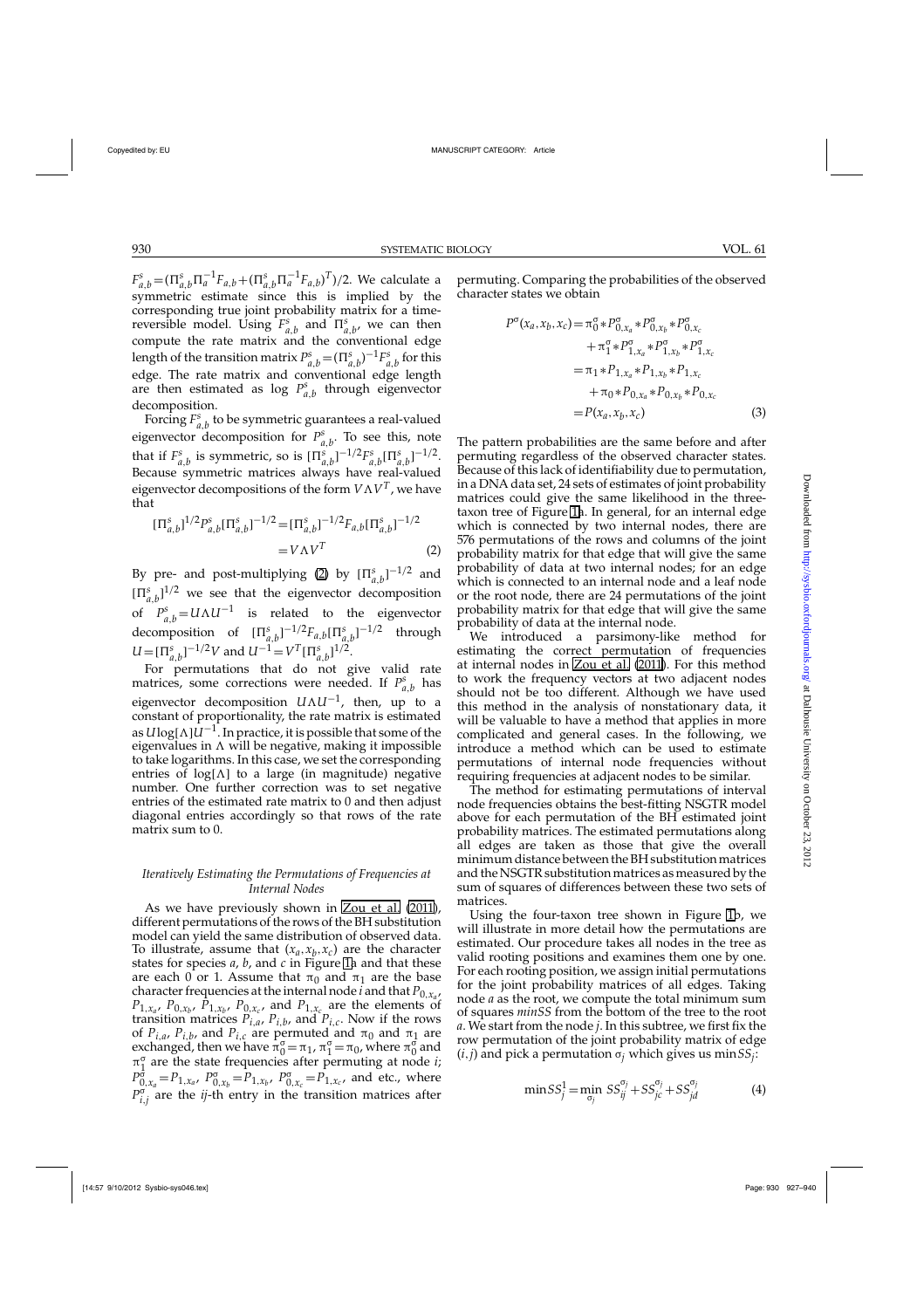<span id="page-3-0"></span> $F_{a,b}^s = (\Pi_{a,b}^s \Pi_a^{-1} F_{a,b} + (\Pi_{a,b}^s \Pi_a^{-1} F_{a,b})^T)/2$ . We calculate a symmetric estimate since this is implied by the corresponding true joint probability matrix for a timereversible model. Using  $F_{a,b}^s$  and  $\Pi_{a,b'}^s$  we can then compute the rate matrix and the conventional edge length of the transition matrix  $P_{a,b}^s = (\Pi_{a,b}^s)^{-1} F_{a,b}^s$  for this edge. The rate matrix and conventional edge length are then estimated as  $\log P_{a,b}^s$  through eigenvector decomposition.

Forcing  $F_{a,b}^s$  to be symmetric guarantees a real-valued eigenvector decomposition for  $P^s_{a,b}$ . To see this, note that if  $F_{a,b}^s$  is symmetric, so is  $[\Pi_{a,b}^s]^{-1/2} F_{a,b}^s [\Pi_{a,b}^s]^{-1/2}$ . Because symmetric matrices always have real-valued eigenvector decompositions of the form  $V\Lambda V^T$ , we have that

$$
[\Pi_{a,b}^{s}]^{1/2} P_{a,b}^{s} [\Pi_{a,b}^{s}]^{-1/2} = [\Pi_{a,b}^{s}]^{-1/2} F_{a,b} [\Pi_{a,b}^{s}]^{-1/2}
$$
  
=  $V \Lambda V^{T}$  (2)

By pre- and post-multiplying (2) by  $[\Pi_{a,b}^s]^{-1/2}$  and  $[\Pi_{a,b}^s]^{1/2}$  we see that the eigenvector decomposition of  $P_{a,b}^s = U \Lambda U^{-1}$  is related to the eigenvector decomposition of  $[\Pi_{a,b}^s]^{-1/2}F_{a,b}[\Pi_{a,b}^s]^{-1/2}$  through  $U = [\Pi_{a,b}^s]^{-1/2}V$  and  $U^{-1} = V^T[\Pi_{a,b}^s]^{1/2}$ .

For permutations that do not give valid rate matrices, some corrections were needed. If  $P_{a,b}^s$  has eigenvector decomposition *UU*<sup>−</sup>1, then, up to a constant of proportionality, the rate matrix is estimated as  $U\log[\Lambda]U^{-1}$ . In practice, it is possible that some of the eigenvalues in  $\Lambda$  will be negative, making it impossible to take logarithms. In this case, we set the corresponding entries of  $log[\Lambda]$  to a large (in magnitude) negative number. One further correction was to set negative entries of the estimated rate matrix to 0 and then adjust diagonal entries accordingly so that rows of the rate matrix sum to 0.

# *Iteratively Estimating the Permutations of Frequencies at Internal Nodes*

As we have previously shown in [Zou et al.](#page-13-0) [\(2011](#page-13-0)), different permutations of the rows of the BH substitution model can yield the same distribution of observed data. To illustrate, assume that  $(x_a, x_b, x_c)$  are the character states for species *a*, *b*, and *c* in Figure [1a](#page-2-0) and that these are each 0 or 1. Assume that  $\pi_0$  and  $\pi_1$  are the base character frequencies at the internal node *i* and that  $P_{0,x_a}$ ,  $P_{1,x_a}$ ,  $P_{0,x_b}$ ,  $P_{1,x_b}$ ,  $P_{0,x_c}$ , and  $P_{1,x_c}$  are the elements of transition matrices  $P_{i,a}$ ,  $P_{i,b}$ , and  $P_{i,c}$ . Now if the rows of  $P_{i,a}$ ,  $P_{i,b}$ , and  $P_{i,c}$  are permuted and  $\pi_0$  and  $\pi_1$  are exchanged, then we have  $\pi_0^{\sigma} = \pi_1$ ,  $\pi_1^{\sigma} = \pi_0$ , where  $\pi_0^{\sigma}$  and  $\pi_1^{\sigma}$  are the state frequencies after permuting at node *i*;  $P_{0,x_a}^{\sigma} = P_{1,x_a}$ ,  $P_{0,x_b}^{\sigma} = P_{1,x_b}$ ,  $P_{0,x_c}^{\sigma} = P_{1,x_c}$ , and etc., where  $P_{i,j}^{\sigma}$  are the *ij*-th entry in the transition matrices after

permuting. Comparing the probabilities of the observed character states we obtain

$$
P^{\sigma}(x_a, x_b, x_c) = \pi_0^{\sigma} * P_{0, x_a}^{\sigma} * P_{0, x_b}^{\sigma} * P_{0, x_c}^{\sigma}
$$
  
+  $\pi_1^{\sigma} * P_{1, x_a}^{\sigma} * P_{1, x_b}^{\sigma} * P_{1, x_c}^{\sigma}$   
=  $\pi_1 * P_{1, x_a} * P_{1, x_b} * P_{1, x_c}$   
+  $\pi_0 * P_{0, x_a} * P_{0, x_b} * P_{0, x_c}$   
=  $P(x_a, x_b, x_c)$  (3)

The pattern probabilities are the same before and after permuting regardless of the observed character states. Because of this lack of identifiability due to permutation, in a DNA data set, 24 sets of estimates of joint probability matrices could give the same likelihood in the threetaxon tree of Figure [1a](#page-2-0). In general, for an internal edge which is connected by two internal nodes, there are 576 permutations of the rows and columns of the joint probability matrix for that edge that will give the same probability of data at two internal nodes; for an edge which is connected to an internal node and a leaf node or the root node, there are 24 permutations of the joint probability matrix for that edge that will give the same probability of data at the internal node.

We introduced a parsimony-like method for estimating the correct permutation of frequencies at internal nodes in [Zou et al.](#page-13-0) [\(2011\)](#page-13-0). For this method to work the frequency vectors at two adjacent nodes should not be too different. Although we have used this method in the analysis of nonstationary data, it will be valuable to have a method that applies in more complicated and general cases. In the following, we introduce a method which can be used to estimate permutations of internal node frequencies without requiring frequencies at adjacent nodes to be similar.

The method for estimating permutations of interval node frequencies obtains the best-fitting NSGTR model above for each permutation of the BH estimated joint probability matrices. The estimated permutations along all edges are taken as those that give the overall minimum distance between the BH substitution matrices and the NSGTR substitution matrices as measured by the sum of squares of differences between these two sets of matrices.

Using the four-taxon tree shown in Figure [1b](#page-2-0), we will illustrate in more detail how the permutations are estimated. Our procedure takes all nodes in the tree as valid rooting positions and examines them one by one. For each rooting position, we assign initial permutations for the joint probability matrices of all edges. Taking node *a* as the root, we compute the total minimum sum of squares *minSS* from the bottom of the tree to the root *a*. We start from the node *j*. In this subtree, we first fix the row permutation of the joint probability matrix of edge  $(i, j)$  and pick a permutation  $\sigma_j$  which gives us min $SS_j$ :

$$
\min SS_j^1 = \min_{\sigma_j} SS_{ij}^{\sigma_j} + SS_{jc}^{\sigma_j} + SS_{jd}^{\sigma_j}
$$
 (4)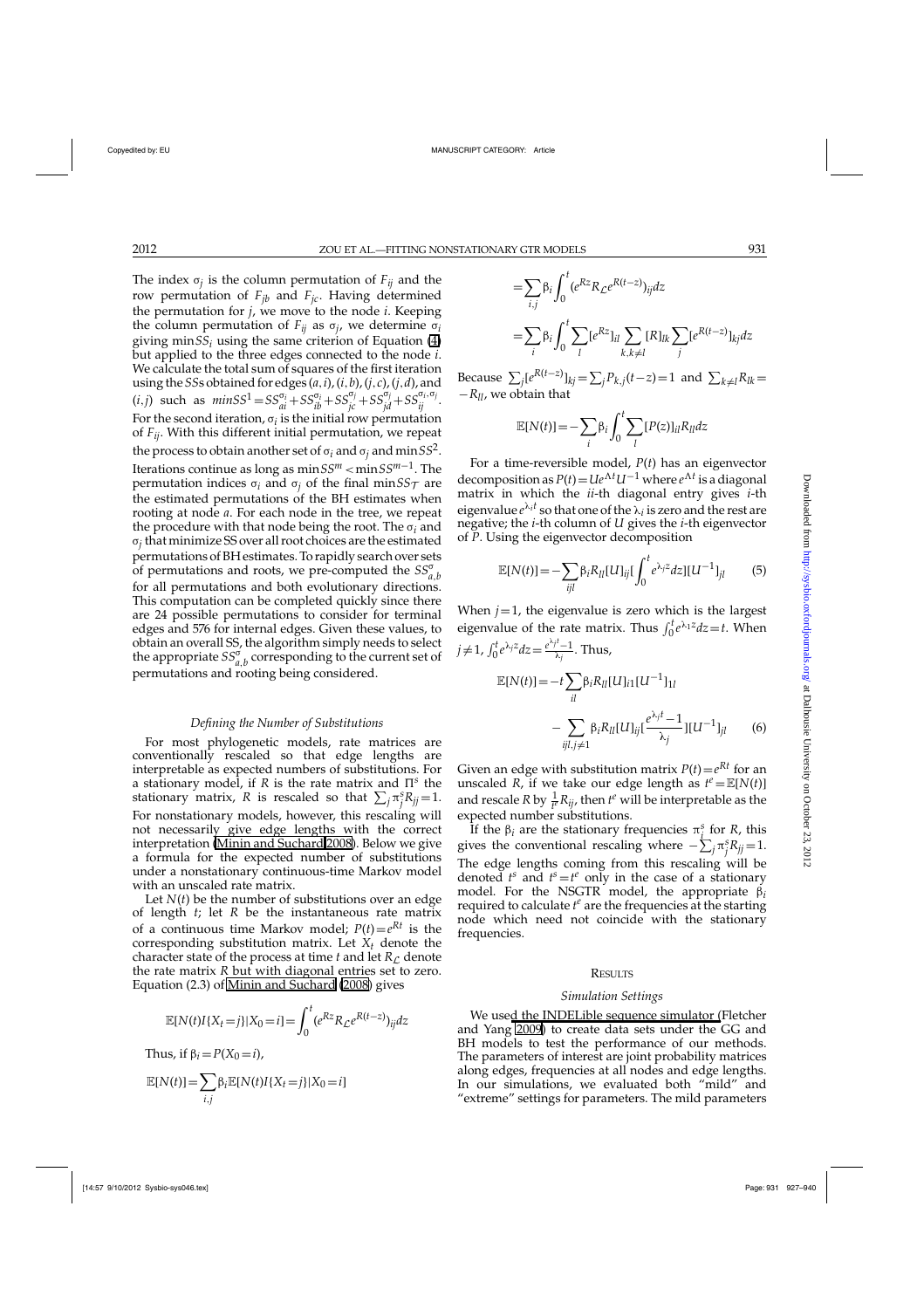<span id="page-4-0"></span>The index  $\sigma_j$  is the column permutation of  $F_{ij}$  and the row permutation of  $F_{jb}$  and  $F_{jc}$ . Having determined the permutation for *j*, we move to the node *i*. Keeping the column permutation of  $F_{ij}$  as  $\sigma_j$ , we determine  $\sigma_i$ giving min $SS<sub>i</sub>$  using the same criterion of Equation [\(4\)](#page-3-0) but applied to the three edges connected to the node *i*. We calculate the total sum of squares of the first iteration using the *SS*s obtained for edges (*a*,*i*), (*i*,*b*), (*j*,*c*), (*j*,*d*), and (*i*,*j*) such as  $minSS^1 = SS_{ai}^{\sigma_i} + SS_{ib}^{\sigma_i} + SS_{jc}^{\sigma_j} + SS_{jd}^{\sigma_j} + SS_{ij}^{\sigma_i}$ . For the second iteration,  $\sigma_i$  is the initial row permutation of *Fij*. With this different initial permutation, we repeat the process to obtain another set of  $\sigma_i$  and  $\sigma_j$  and min*SS*<sup>2</sup>. Iterations continue as long as min $SS^m$  < min $SS^{m-1}$ . The permutation indices  $\sigma_i$  and  $\sigma_j$  of the final min $SS_{\mathcal{T}}$  are the estimated permutations of the BH estimates when rooting at node *a*. For each node in the tree, we repeat the procedure with that node being the root. The  $\sigma_i$  and  $\sigma_i$  that minimize SS over all root choices are the estimated permutations of BH estimates. To rapidly search over sets of permutations and roots, we pre-computed the  $SS_{a,b}^{\sigma}$ for all permutations and both evolutionary directions. This computation can be completed quickly since there are 24 possible permutations to consider for terminal edges and 576 for internal edges. Given these values, to obtain an overall SS, the algorithm simply needs to select the appropriate  $SS_{a,b}^{\sigma}$  corresponding to the current set of permutations and rooting being considered.

## *Defining the Number of Substitutions*

For most phylogenetic models, rate matrices are conventionally rescaled so that edge lengths are interpretable as expected numbers of substitutions. For a stationary model, if *R* is the rate matrix and  $\Pi^s$  the stationary matrix, *R* is rescaled so that  $\sum_j \pi_j^s R_{jj} = 1$ . For nonstationary models, however, this rescaling will not necessarily give edge lengths with the correct interpretation [\(Minin and Suchard 2008\)](#page-13-0). Below we give a formula for the expected number of substitutions under a nonstationary continuous-time Markov model with an unscaled rate matrix.

Let  $N(t)$  be the number of substitutions over an edge of length *t*; let *R* be the instantaneous rate matrix of a continuous time Markov model;  $P(t) = e^{Rt}$  is the corresponding substitution matrix. Let  $X_t$  denote the character state of the process at time  $t$  and let  $R_L$  denote the rate matrix *R* but with diagonal entries set to zero. Equation (2.3) of [Minin and Suchard](#page-13-0) [\(2008\)](#page-13-0) gives

$$
\mathbb{E}[N(t)I\{X_t = j\}|X_0 = i] = \int_0^t (e^{Rz} R_{\mathcal{L}} e^{R(t-z)})_{ij} dz
$$

Thus, if  $\beta_i = P(X_0 = i)$ ,

$$
\mathbb{E}[N(t)] = \sum_{i,j} \beta_i \mathbb{E}[N(t)I\{X_t = j\}|X_0 = i]
$$

$$
= \sum_{i,j} \beta_i \int_0^t (e^{Rz} R_{\mathcal{L}} e^{R(t-z)})_{ij} dz
$$
  

$$
= \sum_i \beta_i \int_0^t \sum_l [e^{Rz}]_{il} \sum_{k,k \neq l} [R]_{lk} \sum_j [e^{R(t-z)}]_{kj} dz
$$

Because  $\sum_{j} [e^{R(t-z)}]_{kj} = \sum_{j} P_{k,j}(t-z) = 1$  and  $\sum_{k \neq l} R_{lk} =$ −*Rll*, we obtain that

$$
\mathbb{E}[N(t)] = -\sum_{i} \beta_i \int_0^t \sum_{l} [P(z)]_{il} R_{ll} dz
$$

For a time-reversible model, *P*(*t*) has an eigenvector decomposition as  $P(t)$  =  $Ue^{\Lambda t}U^{-1}$  where  $e^{\Lambda t}$  is a diagonal matrix in which the *ii*-th diagonal entry gives *i*-th eigenvalue  $e^{\lambda_i t}$  so that one of the  $\lambda_i$  is zero and the rest are negative; the *i*-th column of *U* gives the *i*-th eigenvector of *P*. Using the eigenvector decomposition

$$
\mathbb{E}[N(t)] = -\sum_{ijl} \beta_i R_{ll} [U]_{ij} \left[ \int_0^t e^{\lambda_j z} dz \right] [U^{-1}]_{jl} \tag{5}
$$

When  $j=1$ , the eigenvalue is zero which is the largest eigenvalue of the rate matrix. Thus  $\int_0^t e^{\lambda_1 z} dz = t$ . When  $j \neq 1$ ,  $\int_0^t e^{\lambda_j z} dz = \frac{e^{\lambda_j t} - 1}{\lambda_j}$ . Thus,

$$
\mathbb{E}[N(t)] = -t \sum_{il} \beta_i R_{ll} [U]_{i1} [U^{-1}]_{1l} \n- \sum_{ijl,j \neq 1} \beta_i R_{ll} [U]_{ij} [\frac{e^{\lambda_j t} - 1}{\lambda_j}] [U^{-1}]_{jl}
$$
\n(6)

Given an edge with substitution matrix  $P(t) = e^{Rt}$  for an unscaled *R*, if we take our edge length as  $t^e = \mathbb{E}[N(t)]$ and rescale *R* by  $\frac{1}{t^e}R_{ij}$ , then  $t^e$  will be interpretable as the expected number substitutions.

If the  $\beta_i$  are the stationary frequencies  $\pi_j^s$  for *R*, this gives the conventional rescaling where  $-\sum_j \pi_j^s R_{jj} = 1$ . The edge lengths coming from this rescaling will be denoted  $t^s$  and  $t^s = t^e$  only in the case of a stationary model. For the NSGTR model, the appropriate  $\beta_i$ required to calculate  $t^e$  are the frequencies at the starting node which need not coincide with the stationary frequencies.

#### RESULTS

#### *Simulation Settings*

We use[d the INDELible sequence simulator \(](#page-12-0)Fletcher and Yang [2009\)](#page-12-0) to create data sets under the GG and BH models to test the performance of our methods. The parameters of interest are joint probability matrices along edges, frequencies at all nodes and edge lengths. In our simulations, we evaluated both "mild" and "extreme" settings for parameters. The mild parameters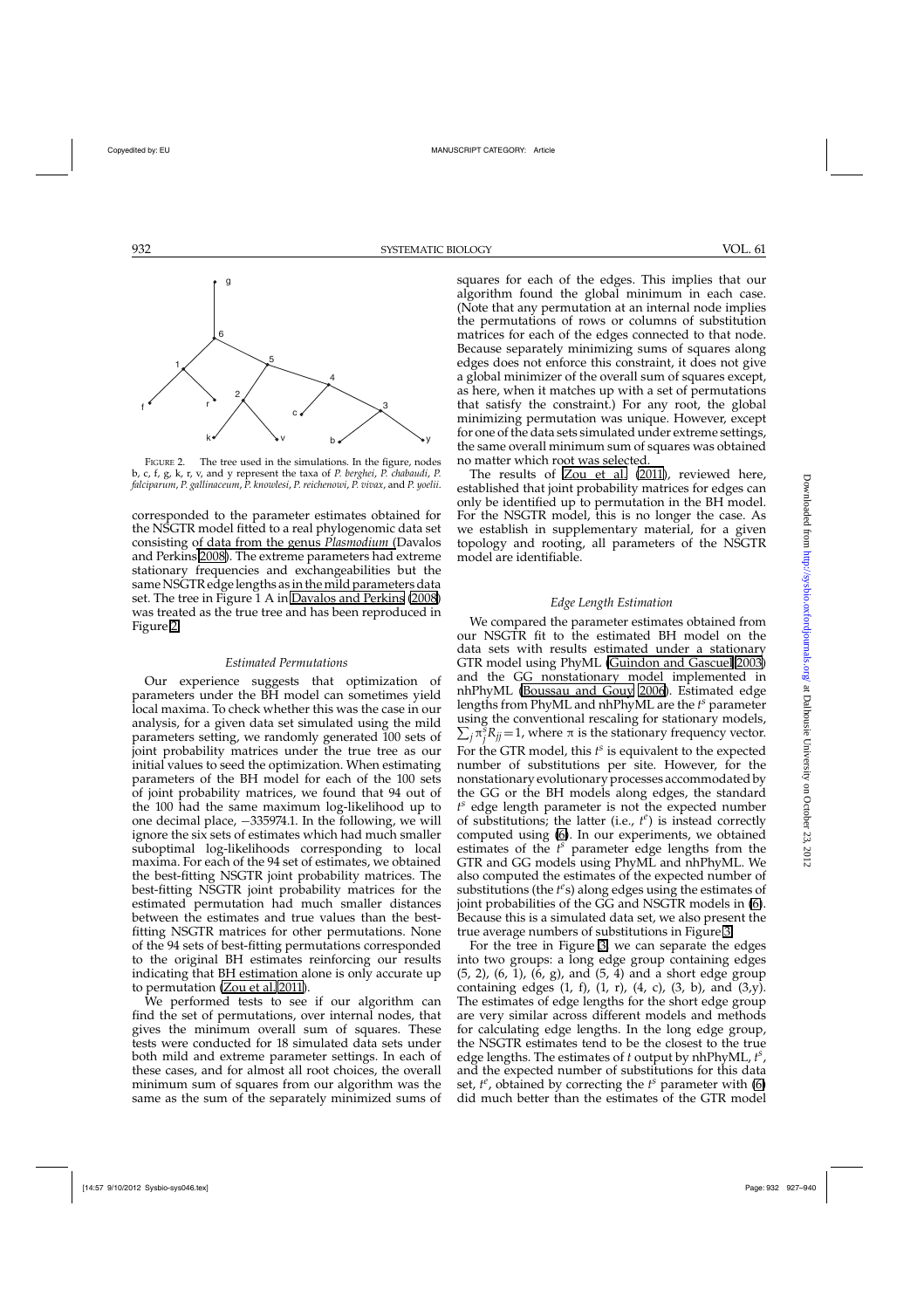

FIGURE 2. The tree used in the simulations. In the figure, nodes b, c, f, g, k, r, v, and y represent the taxa of *P. berghei*, *P. chabaudi*, *P. falciparum*, *P. gallinaceum*, *P. knowlesi*, *P. reichenowi*, *P. vivax*, and *P. yoelii*.

corresponded to the parameter estimates obtained for the NSGTR model fitted to a real phylogenomic data set consisting [of data from the genus](#page-12-0) *Plasmodium* (Davalos and Perkins [2008\)](#page-12-0). The extreme parameters had extreme stationary frequencies and exchangeabilities but the same NSGTR edge lengths as in the mild parameters data set. The tree in Figure 1 A in [Davalos and Perkins](#page-12-0) [\(2008\)](#page-12-0) was treated as the true tree and has been reproduced in Figure 2.

## *Estimated Permutations*

Our experience suggests that optimization of parameters under the BH model can sometimes yield local maxima. To check whether this was the case in our analysis, for a given data set simulated using the mild parameters setting, we randomly generated 100 sets of joint probability matrices under the true tree as our initial values to seed the optimization. When estimating parameters of the BH model for each of the 100 sets of joint probability matrices, we found that 94 out of the 100 had the same maximum log-likelihood up to one decimal place, −335974.1. In the following, we will ignore the six sets of estimates which had much smaller suboptimal log-likelihoods corresponding to local maxima. For each of the 94 set of estimates, we obtained the best-fitting NSGTR joint probability matrices. The best-fitting NSGTR joint probability matrices for the estimated permutation had much smaller distances between the estimates and true values than the bestfitting NSGTR matrices for other permutations. None of the 94 sets of best-fitting permutations corresponded to the original BH estimates reinforcing our results indicating that BH estimation alone is only accurate up to permutation [\(Zou et al. 2011](#page-13-0)).

We performed tests to see if our algorithm can find the set of permutations, over internal nodes, that gives the minimum overall sum of squares. These tests were conducted for 18 simulated data sets under both mild and extreme parameter settings. In each of these cases, and for almost all root choices, the overall minimum sum of squares from our algorithm was the same as the sum of the separately minimized sums of

squares for each of the edges. This implies that our algorithm found the global minimum in each case. (Note that any permutation at an internal node implies the permutations of rows or columns of substitution matrices for each of the edges connected to that node. Because separately minimizing sums of squares along edges does not enforce this constraint, it does not give a global minimizer of the overall sum of squares except, as here, when it matches up with a set of permutations that satisfy the constraint.) For any root, the global minimizing permutation was unique. However, except for one of the data sets simulated under extreme settings, the same overall minimum sum of squares was obtained no matter which root was selected.

The results of [Zou et al.](#page-13-0) [\(2011](#page-13-0)), reviewed here, established that joint probability matrices for edges can only be identified up to permutation in the BH model. For the NSGTR model, this is no longer the case. As we establish in supplementary material, for a given topology and rooting, all parameters of the NSGTR model are identifiable.

## *Edge Length Estimation*

We compared the parameter estimates obtained from our NSGTR fit to the estimated BH model on the data sets with results estimated under a stationary GTR model using PhyML [\(Guindon and Gascuel 2003](#page-13-0)) and the GG nonstationary model implemented in nhPhyML [\(Boussau and Gouy 2006\)](#page-12-0). Estimated edge lengths from PhyML and nhPhyML are the *t <sup>s</sup>* parameter using the conventional rescaling for stationary models,  $\sum_j \pi_j^{\text{S}} R_{jj} = 1$ , where  $\pi$  is the stationary frequency vector. For the GTR model, this  $t^s$  is equivalent to the expected number of substitutions per site. However, for the nonstationary evolutionary processes accommodated by the GG or the BH models along edges, the standard *t <sup>s</sup>* edge length parameter is not the expected number of substitutions; the latter (i.e., *t <sup>e</sup>*) is instead correctly computed using [\(6\)](#page-4-0). In our experiments, we obtained estimates of the  $t^s$  parameter edge lengths from the GTR and GG models using PhyML and nhPhyML. We also computed the estimates of the expected number of substitutions (the *t <sup>e</sup>*s) along edges using the estimates of joint probabilities of the GG and NSGTR models in [\(6\)](#page-4-0). Because this is a simulated data set, we also present the true average numbers of substitutions in Figure [3.](#page-6-0)

For the tree in Figure [3,](#page-6-0) we can separate the edges into two groups: a long edge group containing edges (5, 2), (6, 1), (6, g), and (5, 4) and a short edge group containing edges  $(1, f)$ ,  $(1, r)$ ,  $(4, c)$ ,  $(3, b)$ , and  $(3,y)$ . The estimates of edge lengths for the short edge group are very similar across different models and methods for calculating edge lengths. In the long edge group, the NSGTR estimates tend to be the closest to the true edge lengths. The estimates of *t* output by nhPhyML, *t s* , and the expected number of substitutions for this data set,  $t^e$ , obtained by correcting the  $t^s$  parameter with [\(6\)](#page-4-0) did much better than the estimates of the GTR model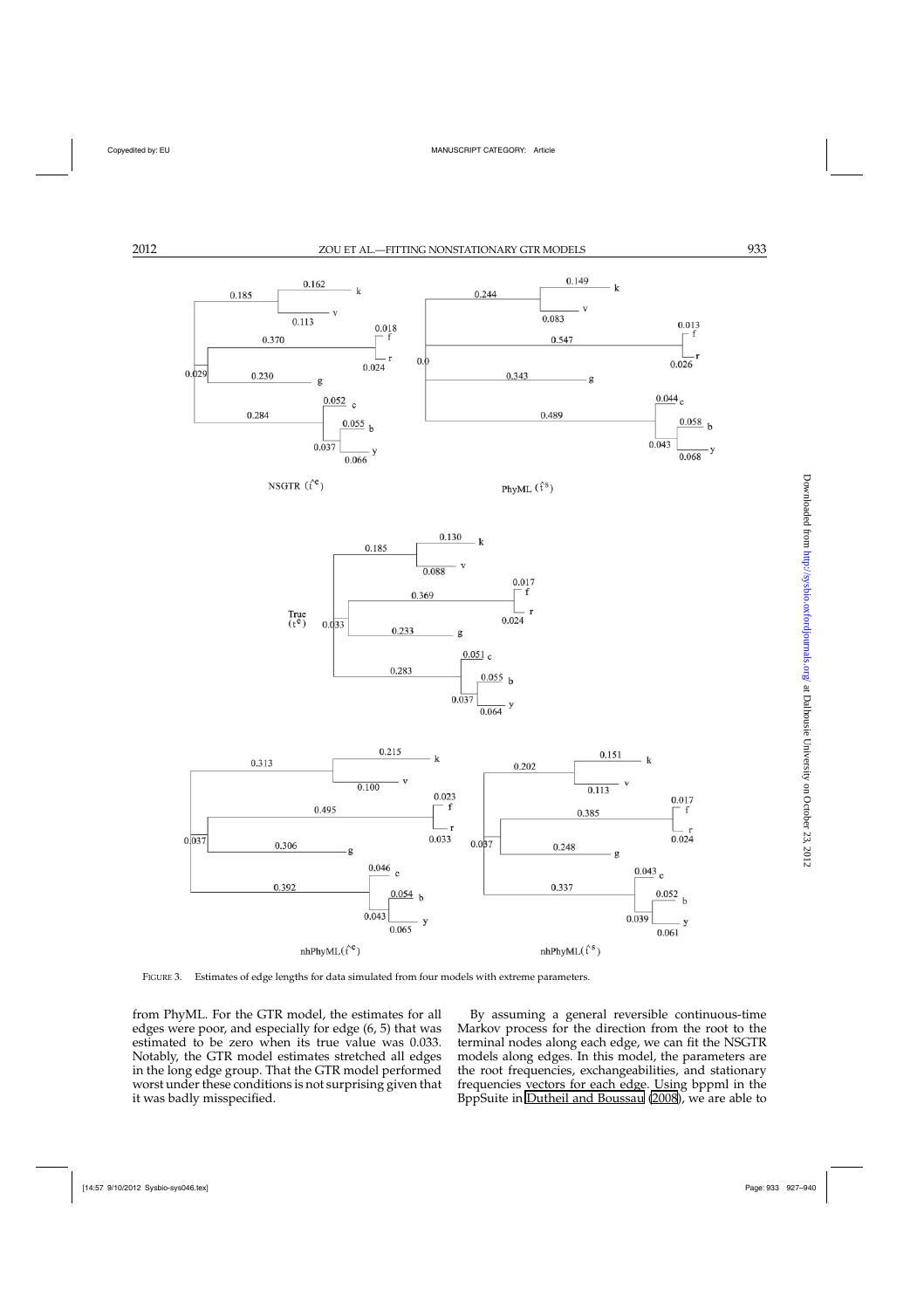<span id="page-6-0"></span>

FIGURE 3. Estimates of edge lengths for data simulated from four models with extreme parameters.

from PhyML. For the GTR model, the estimates for all edges were poor, and especially for edge (6, 5) that was estimated to be zero when its true value was 0.033. Notably, the GTR model estimates stretched all edges in the long edge group. That the GTR model performed worst under these conditions is not surprising given that it was badly misspecified.

By assuming a general reversible continuous-time Markov process for the direction from the root to the terminal nodes along each edge, we can fit the NSGTR models along edges. In this model, the parameters are the root frequencies, exchangeabilities, and stationary frequencies vectors for each edge. Using bppml in the BppSuite in [Dutheil and Boussau](#page-12-0) [\(2008\)](#page-12-0), we are able to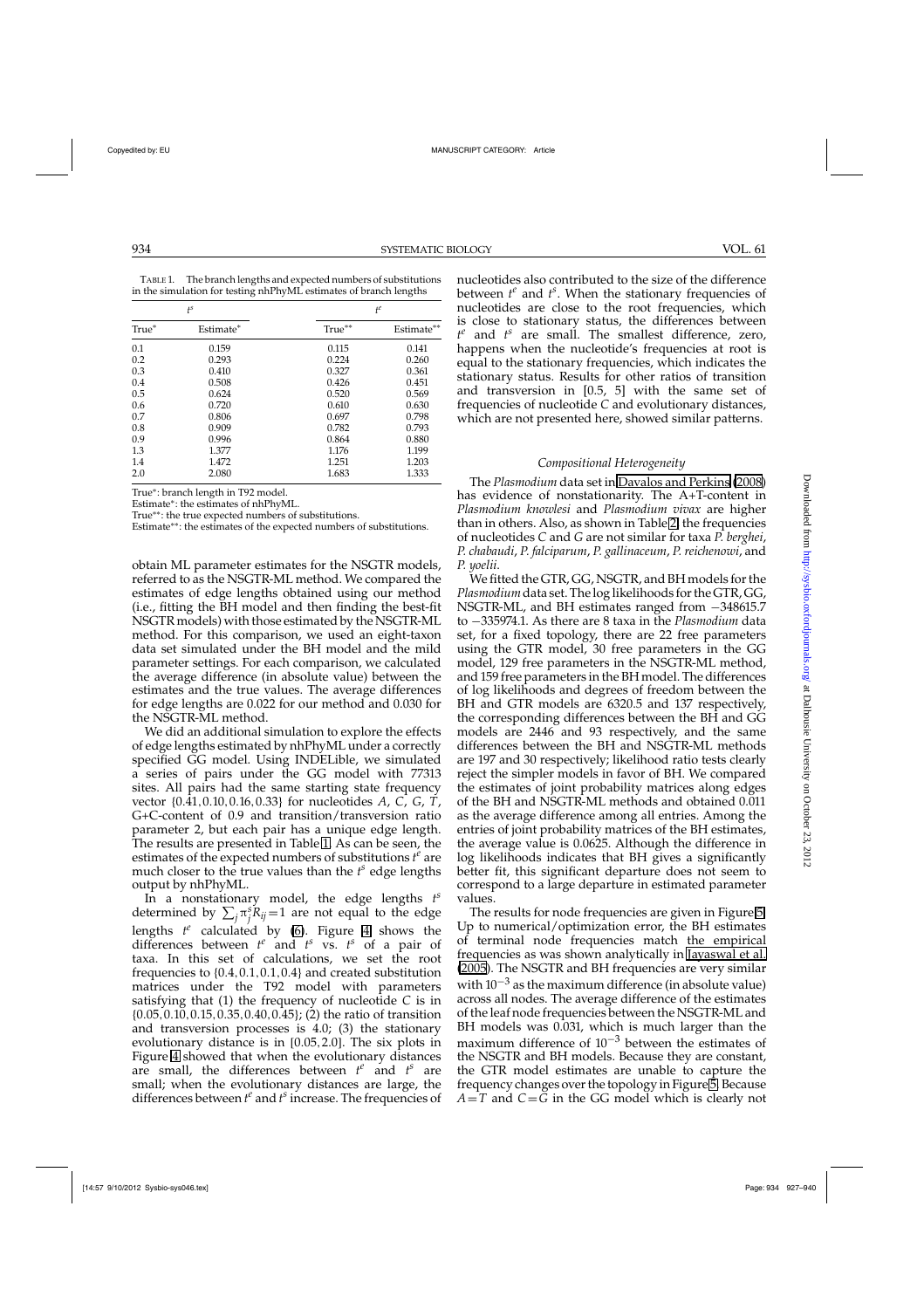TABLE 1. The branch lengths and expected numbers of substitutions in the simulation for testing nhPhyML estimates of branch lengths

|       | $t^s$     | $t^e$    |            |  |  |
|-------|-----------|----------|------------|--|--|
| True* | Estimate* | $True**$ | Estimate** |  |  |
| 0.1   | 0.159     | 0.115    | 0.141      |  |  |
| 0.2   | 0.293     | 0.224    | 0.260      |  |  |
| 0.3   | 0.410     | 0.327    | 0.361      |  |  |
| 0.4   | 0.508     | 0.426    | 0.451      |  |  |
| 0.5   | 0.624     | 0.520    | 0.569      |  |  |
| 0.6   | 0.720     | 0.610    | 0.630      |  |  |
| 0.7   | 0.806     | 0.697    | 0.798      |  |  |
| 0.8   | 0.909     | 0.782    | 0.793      |  |  |
| 0.9   | 0.996     | 0.864    | 0.880      |  |  |
| 1.3   | 1.377     | 1.176    | 1.199      |  |  |
| 1.4   | 1.472     | 1.251    | 1.203      |  |  |
| 2.0   | 2.080     | 1.683    | 1.333      |  |  |

True∗: branch length in T92 model.

Estimate∗: the estimates of nhPhyML.

True∗∗: the true expected numbers of substitutions.

Estimate∗∗: the estimates of the expected numbers of substitutions.

obtain ML parameter estimates for the NSGTR models, referred to as the NSGTR-ML method. We compared the estimates of edge lengths obtained using our method (i.e., fitting the BH model and then finding the best-fit NSGTR models) with those estimated by the NSGTR-ML method. For this comparison, we used an eight-taxon data set simulated under the BH model and the mild parameter settings. For each comparison, we calculated the average difference (in absolute value) between the estimates and the true values. The average differences for edge lengths are 0.022 for our method and 0.030 for the NSGTR-ML method.

We did an additional simulation to explore the effects of edge lengths estimated by nhPhyML under a correctly specified GG model. Using INDELible, we simulated a series of pairs under the GG model with 77313 sites. All pairs had the same starting state frequency vector {0.41,0.10,0.16,0.33} for nucleotides *A*, *C*, *G*, *T*, G+C-content of 0.9 and transition/transversion ratio parameter 2, but each pair has a unique edge length. The results are presented in Table 1. As can be seen, the estimates of the expected numbers of substitutions *t <sup>e</sup>* are much closer to the true values than the  $t^s$  edge lengths output by nhPhyML.

In a nonstationary model, the edge lengths  $t^s$ determined by  $\sum_j \pi_j^s R_{ij} = 1$  are not equal to the edge lengths *t <sup>e</sup>* calculated by [\(6\)](#page-4-0). Figure [4](#page-8-0) shows the differences between  $t^e$  and  $t^s$  vs.  $t^s$  of a pair of taxa. In this set of calculations, we set the root frequencies to {0.4,0.1,0.1,0.4} and created substitution matrices under the T92 model with parameters satisfying that (1) the frequency of nucleotide *C* is in {0.05,0.10,0.15,0.35,0.40,0.45}; (2) the ratio of transition and transversion processes is 4.0; (3) the stationary evolutionary distance is in [0.05,2.0]. The six plots in Figure [4](#page-8-0) showed that when the evolutionary distances are small, the differences between  $t^e$  and  $t^s$  are small; when the evolutionary distances are large, the differences between *t <sup>e</sup>* and *t <sup>s</sup>* increase. The frequencies of

nucleotides also contributed to the size of the difference between  $t^e$  and  $t^s$ . When the stationary frequencies of nucleotides are close to the root frequencies, which is close to stationary status, the differences between *t <sup>e</sup>* and *t <sup>s</sup>* are small. The smallest difference, zero, happens when the nucleotide's frequencies at root is equal to the stationary frequencies, which indicates the stationary status. Results for other ratios of transition and transversion in [0.5, 5] with the same set of frequencies of nucleotide *C* and evolutionary distances, which are not presented here, showed similar patterns.

#### *Compositional Heterogeneity*

The *Plasmodium* data set in [Davalos and Perkins](#page-12-0) [\(2008](#page-12-0)) has evidence of nonstationarity. The A+T-content in *Plasmodium knowlesi* and *Plasmodium vivax* are higher than in others. Also, as shown in Table [2,](#page-8-0) the frequencies of nucleotides *C* and *G* are not similar for taxa *P. berghei*, *P. chabaudi*, *P. falciparum*, *P. gallinaceum*, *P. reichenowi*, and *P. yoelii*.

We fitted the GTR, GG, NSGTR, and BH models for the *Plasmodium*data set. The log likelihoods for the GTR, GG, NSGTR-ML, and BH estimates ranged from −348615.7 to −335974.1. As there are 8 taxa in the *Plasmodium* data set, for a fixed topology, there are 22 free parameters using the GTR model, 30 free parameters in the GG model, 129 free parameters in the NSGTR-ML method, and 159 free parameters in the BH model. The differences of log likelihoods and degrees of freedom between the BH and GTR models are 6320.5 and 137 respectively, the corresponding differences between the BH and GG models are 2446 and 93 respectively, and the same differences between the BH and NSGTR-ML methods are 197 and 30 respectively; likelihood ratio tests clearly reject the simpler models in favor of BH. We compared the estimates of joint probability matrices along edges of the BH and NSGTR-ML methods and obtained 0.011 as the average difference among all entries. Among the entries of joint probability matrices of the BH estimates, the average value is 0.0625. Although the difference in log likelihoods indicates that BH gives a significantly better fit, this significant departure does not seem to correspond to a large departure in estimated parameter values.

The results for node frequencies are given in Figure [5.](#page-9-0) Up to numerical/optimization error, the BH estimates of terminal node frequencies match the empirical frequencies as was shown analytically in [Jayaswal et al.](#page-13-0) [\(2005\)](#page-13-0). The NSGTR and BH frequencies are very similar with  $10^{-3}$  as the maximum difference (in absolute value) across all nodes. The average difference of the estimates of the leaf node frequencies between the NSGTR-ML and BH models was 0.031, which is much larger than the maximum difference of  $10^{-3}$  between the estimates of the NSGTR and BH models. Because they are constant, the GTR model estimates are unable to capture the frequency changes over the topology in Figure [5.](#page-9-0) Because *A*=*T* and *C*=*G* in the GG model which is clearly not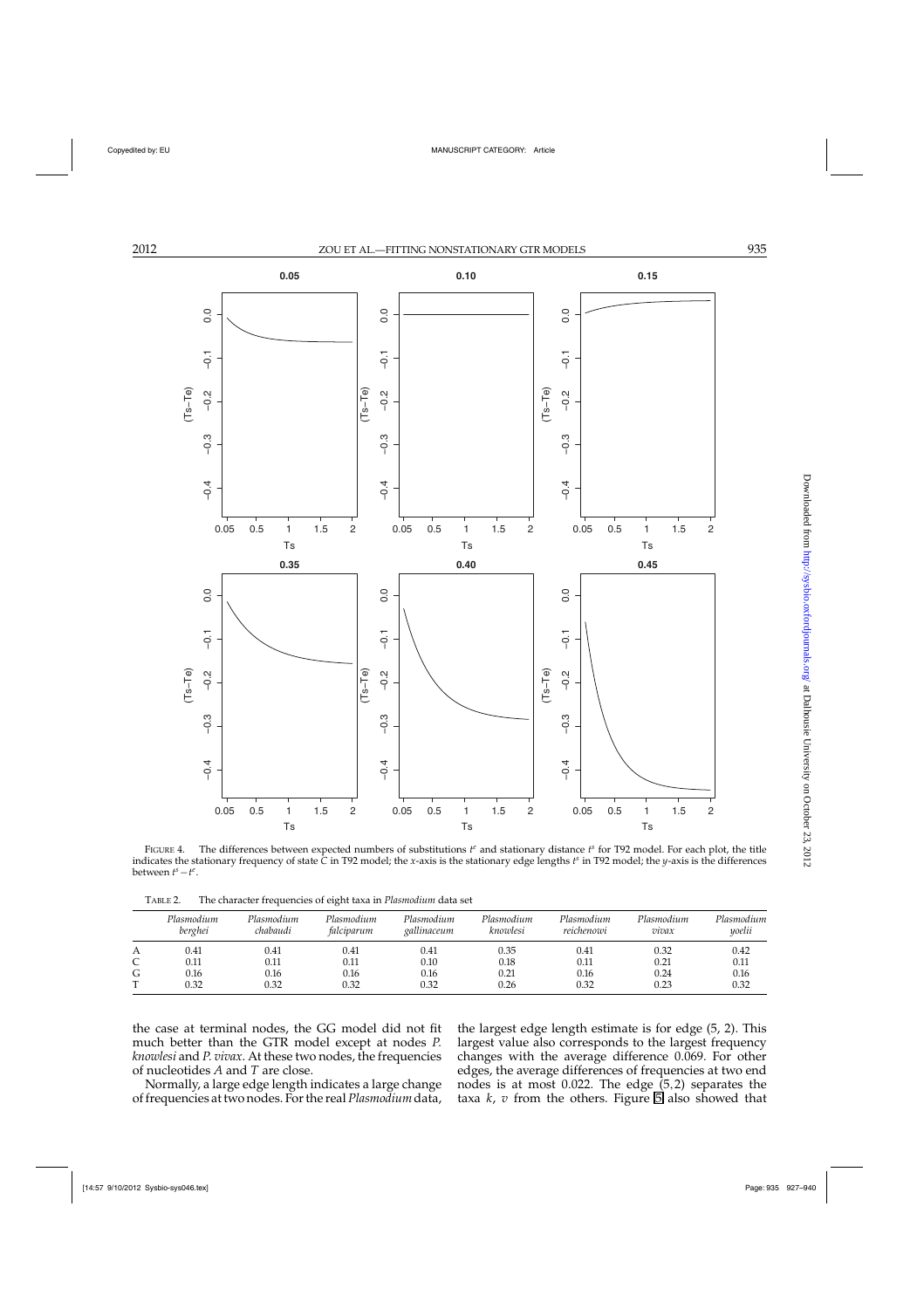<span id="page-8-0"></span>

FIGURE 4. The differences between expected numbers of substitutions  $t^e$  and stationary distance  $t^s$  for T92 model. For each plot, the title indicates the stationary frequency of state *C* in T92 model; the *x*-axis is the stationary edge lengths *t <sup>s</sup>* in T92 model; the *y*-axis is the differences  $b$ etween  $t^s - t^e$ .

TABLE 2. The character frequencies of eight taxa in *Plasmodium* data set

|                | Plasmodium<br>berghei | Plasmodium<br>chabaudi | Plasmodium<br>falcivarum | Plasmodium<br>gallinaceum | Plasmodium<br>knowlesi | Plasmodium<br>reichenowi | Plasmodium<br>vivax | Plasmodium<br>yoelii |
|----------------|-----------------------|------------------------|--------------------------|---------------------------|------------------------|--------------------------|---------------------|----------------------|
| А              | 0.41                  | $\rm 0.41$             | 0.41                     | 0.41                      | 0.35                   | 0.41                     | 0.32                | 0.42                 |
| $\subset$<br>◡ | $0.11\,$              | 0.11                   | 0.11                     | 0.10                      | 0.18                   | 0.11                     | 0.21                | 0.11                 |
| G              | 0.16                  | 0.16                   | 0.16                     | 0.16                      | 0.21                   | 0.16                     | 0.24                | 0.16                 |
| m              | 0.32                  | 0.32                   | 0.32                     | 0.32                      | 0.26                   | 0.32                     | 0.23                | 0.32                 |

the case at terminal nodes, the GG model did not fit much better than the GTR model except at nodes *P. knowlesi* and *P. vivax*. At these two nodes, the frequencies of nucleotides *A* and *T* are close.

Normally, a large edge length indicates a large change of frequencies at two nodes. For the real*Plasmodium*data, the largest edge length estimate is for edge (5, 2). This largest value also corresponds to the largest frequency changes with the average difference 0.069. For other edges, the average differences of frequencies at two end nodes is at most 0.022. The edge  $(5,2)$  separates the taxa *k*, *v* from the others. Figure [5](#page-9-0) also showed that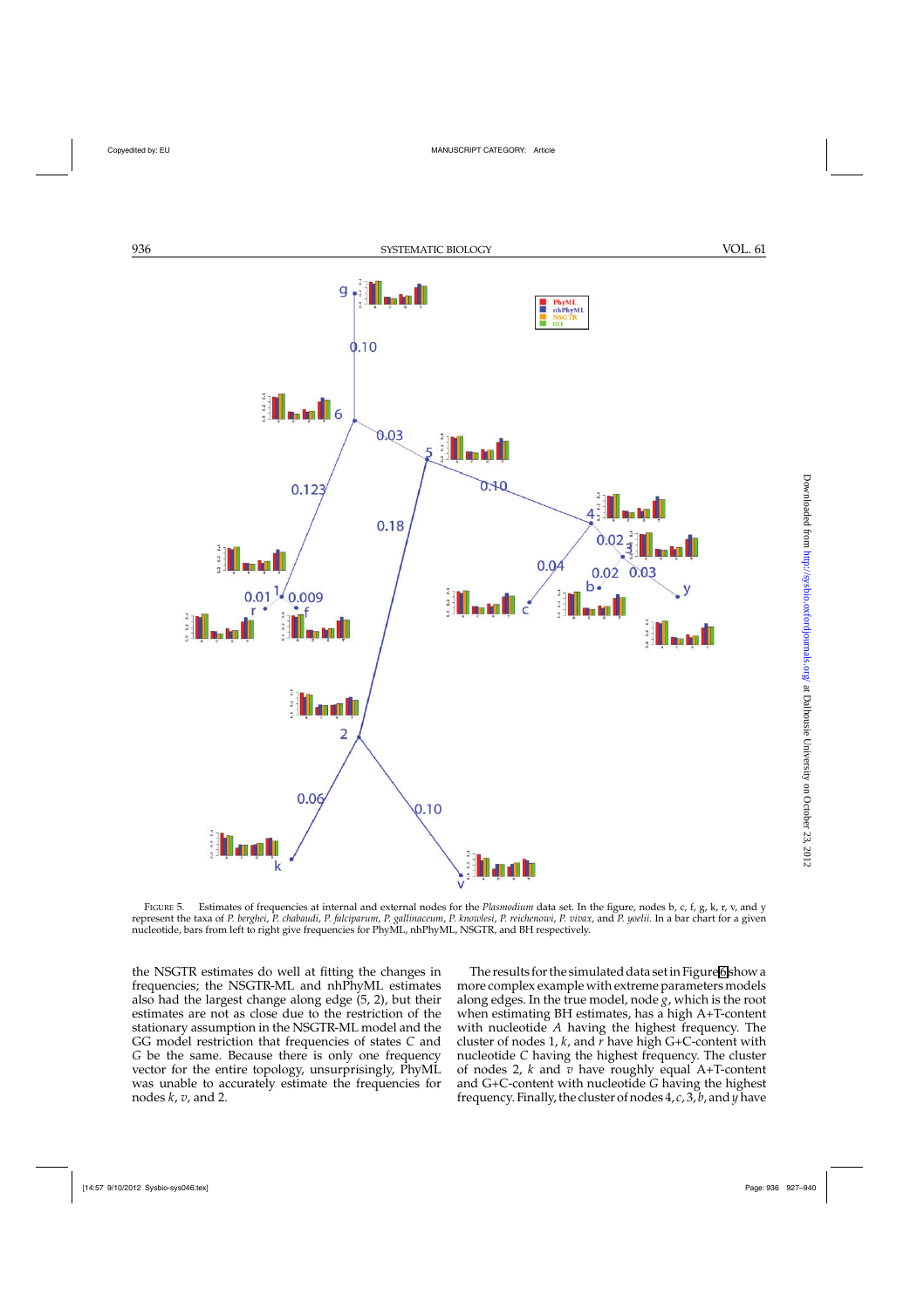<span id="page-9-0"></span>

FIGURE 5. Estimates of frequencies at internal and external nodes for the *Plasmodium* data set. In the figure, nodes b, c, f, g, k, r, v, and y represent the taxa of *P. berghei*, *P. chabaudi*, *P. falciparum*, *P. gallinaceum*, *P. knowlesi*, *P. reichenowi*, *P. vivax*, and *P. yoelii*. In a bar chart for a given nucleotide, bars from left to right give frequencies for PhyML, nhPhyML, NSGTR, and BH respectively.

the NSGTR estimates do well at fitting the changes in frequencies; the NSGTR-ML and nhPhyML estimates also had the largest change along edge (5, 2), but their estimates are not as close due to the restriction of the stationary assumption in the NSGTR-ML model and the GG model restriction that frequencies of states *C* and *G* be the same. Because there is only one frequency vector for the entire topology, unsurprisingly, PhyML was unable to accurately estimate the frequencies for nodes *k*, *v*, and 2.

The results for the simulated data setin Figure [6](#page-10-0) show a more complex example with extreme parameters models along edges. In the true model, node *g*, which is the root when estimating BH estimates, has a high A+T-content with nucleotide *A* having the highest frequency. The cluster of nodes 1, *k*, and *r* have high G+C-content with nucleotide *C* having the highest frequency. The cluster of nodes 2, *k* and *v* have roughly equal A+T-content and G+C-content with nucleotide *G* having the highest frequency. Finally, the cluster of nodes 4, *c*, 3, *b*, and*y* have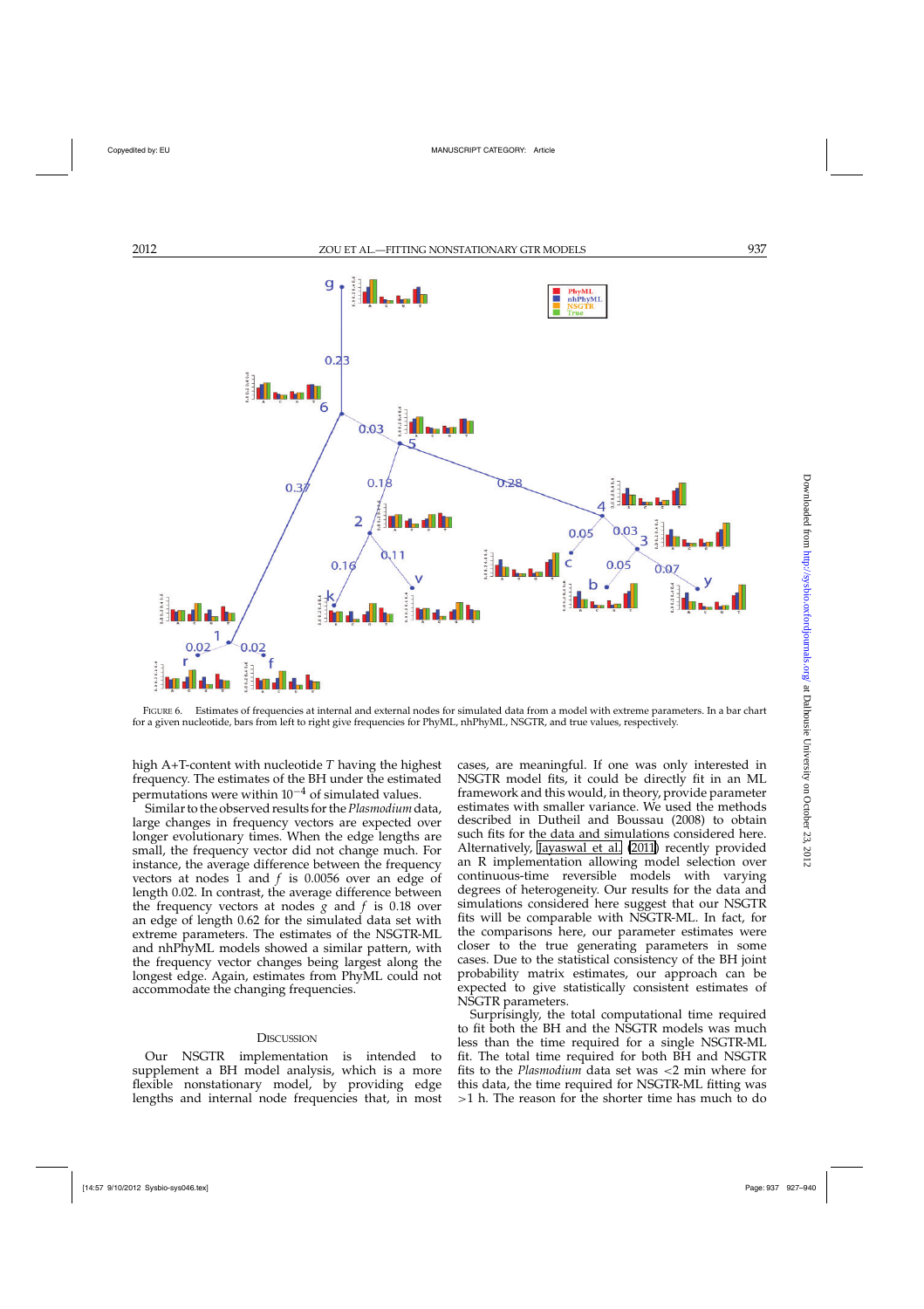<span id="page-10-0"></span>

FIGURE 6. Estimates of frequencies at internal and external nodes for simulated data from a model with extreme parameters. In a bar chart for a given nucleotide, bars from left to right give frequencies for PhyML, nhPhyML, NSGTR, and true values, respectively.

high A+T-content with nucleotide *T* having the highest frequency. The estimates of the BH under the estimated permutations were within  $10^{-4}$  of simulated values.

Similar to the observed results for the*Plasmodium*data, large changes in frequency vectors are expected over longer evolutionary times. When the edge lengths are small, the frequency vector did not change much. For instance, the average difference between the frequency vectors at nodes 1 and *f* is 0.0056 over an edge of length 0.02. In contrast, the average difference between the frequency vectors at nodes *g* and *f* is 0.18 over an edge of length 0.62 for the simulated data set with extreme parameters. The estimates of the NSGTR-ML and nhPhyML models showed a similar pattern, with the frequency vector changes being largest along the longest edge. Again, estimates from PhyML could not accommodate the changing frequencies.

## **DISCUSSION**

Our NSGTR implementation is intended to supplement a BH model analysis, which is a more flexible nonstationary model, by providing edge lengths and internal node frequencies that, in most cases, are meaningful. If one was only interested in NSGTR model fits, it could be directly fit in an ML framework and this would, in theory, provide parameter estimates with smaller variance. We used the methods described in Dutheil and Boussau (2008) to obtain such fits for the data and simulations considered here. Alternatively, [Jayaswal et al.](#page-13-0) [\(2011\)](#page-13-0) recently provided an R implementation allowing model selection over continuous-time reversible models with varying degrees of heterogeneity. Our results for the data and simulations considered here suggest that our NSGTR fits will be comparable with NSGTR-ML. In fact, for the comparisons here, our parameter estimates were closer to the true generating parameters in some cases. Due to the statistical consistency of the BH joint probability matrix estimates, our approach can be expected to give statistically consistent estimates of NSGTR parameters.

Surprisingly, the total computational time required to fit both the BH and the NSGTR models was much less than the time required for a single NSGTR-ML fit. The total time required for both BH and NSGTR fits to the *Plasmodium* data set was <2 min where for this data, the time required for NSGTR-ML fitting was >1 h. The reason for the shorter time has much to do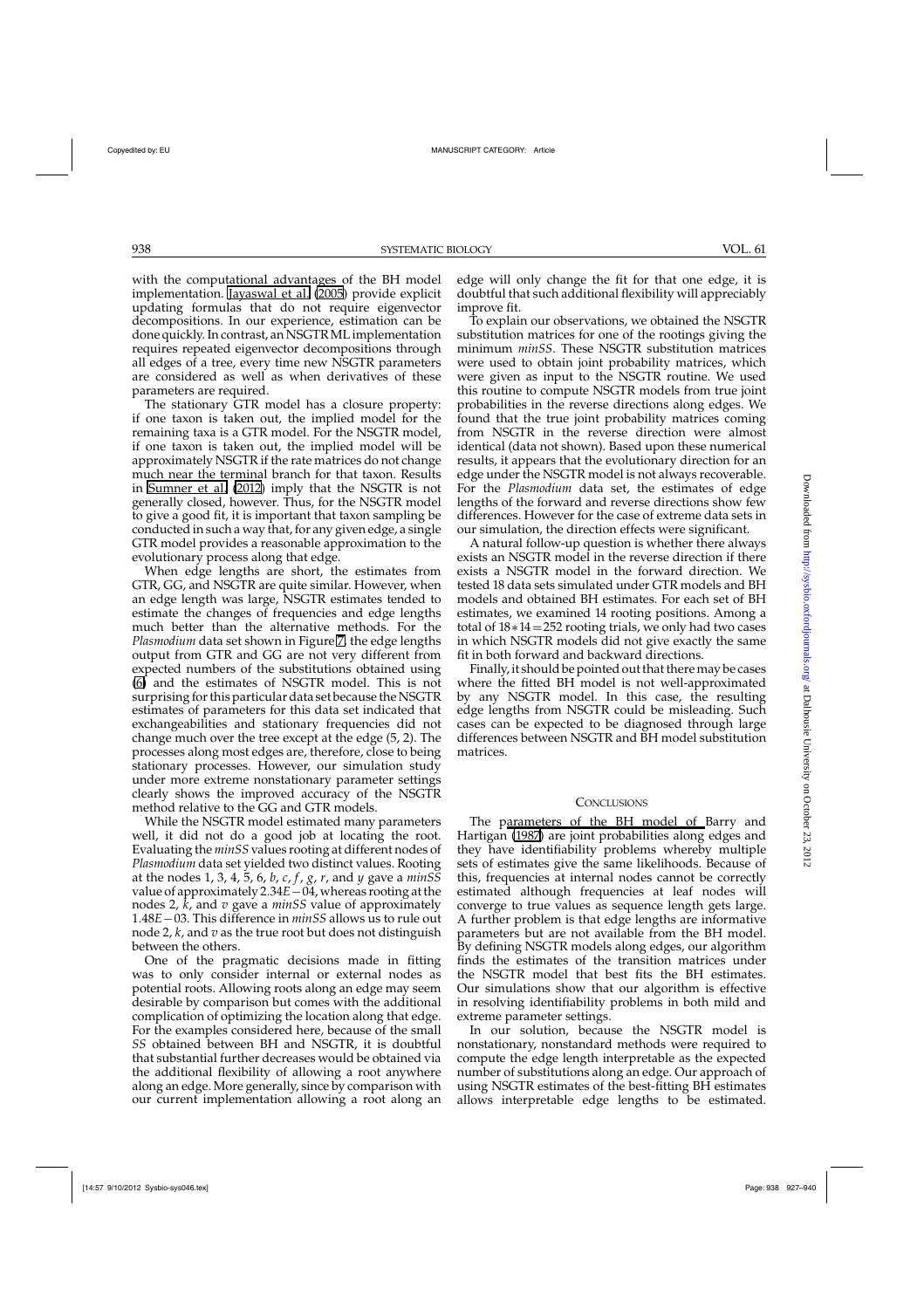with the computational advantages of the BH model implementation. [Jayaswal et al.](#page-13-0)  $(2005)$  $(2005)$  provide explicit updating formulas that do not require eigenvector decompositions. In our experience, estimation can be done quickly. In contrast, an NSGTRML implementation requires repeated eigenvector decompositions through all edges of a tree, every time new NSGTR parameters are considered as well as when derivatives of these parameters are required.

The stationary GTR model has a closure property: if one taxon is taken out, the implied model for the remaining taxa is a GTR model. For the NSGTR model, if one taxon is taken out, the implied model will be approximately NSGTR if the rate matrices do not change much near the terminal branch for that taxon. Results in [Sumner et al.](#page-13-0) [\(2012](#page-13-0)) imply that the NSGTR is not generally closed, however. Thus, for the NSGTR model to give a good fit, it is important that taxon sampling be conducted in such a way that, for any given edge, a single GTR model provides a reasonable approximation to the evolutionary process along that edge.

When edge lengths are short, the estimates from GTR, GG, and NSGTR are quite similar. However, when an edge length was large, NSGTR estimates tended to estimate the changes of frequencies and edge lengths much better than the alternative methods. For the *Plasmodium* data set shown in Figure [7,](#page-12-0) the edge lengths output from GTR and GG are not very different from expected numbers of the substitutions obtained using [\(6\)](#page-4-0) and the estimates of NSGTR model. This is not surprising for this particular data set because the NSGTR estimates of parameters for this data set indicated that exchangeabilities and stationary frequencies did not change much over the tree except at the edge (5, 2). The processes along most edges are, therefore, close to being stationary processes. However, our simulation study under more extreme nonstationary parameter settings clearly shows the improved accuracy of the NSGTR method relative to the GG and GTR models.

While the NSGTR model estimated many parameters well, it did not do a good job at locating the root. Evaluating the *minSS* values rooting at different nodes of *Plasmodium* data set yielded two distinct values. Rooting at the nodes 1, 3, 4, 5, 6, *b*, *c*, *f* , *g*, *r*, and *y* gave a *minSS* value of approximately 2.34*E*−04, whereas rooting at the nodes 2, *k*, and *v* gave a *minSS* value of approximately 1.48*E*−03. This difference in *minSS* allows us to rule out node 2, *k*, and *v* as the true root but does not distinguish between the others.

One of the pragmatic decisions made in fitting was to only consider internal or external nodes as potential roots. Allowing roots along an edge may seem desirable by comparison but comes with the additional complication of optimizing the location along that edge. For the examples considered here, because of the small *SS* obtained between BH and NSGTR, it is doubtful that substantial further decreases would be obtained via the additional flexibility of allowing a root anywhere along an edge. More generally, since by comparison with our current implementation allowing a root along an

edge will only change the fit for that one edge, it is doubtful that such additional flexibility will appreciably improve fit.

To explain our observations, we obtained the NSGTR substitution matrices for one of the rootings giving the minimum *minSS*. These NSGTR substitution matrices were used to obtain joint probability matrices, which were given as input to the NSGTR routine. We used this routine to compute NSGTR models from true joint probabilities in the reverse directions along edges. We found that the true joint probability matrices coming from NSGTR in the reverse direction were almost identical (data not shown). Based upon these numerical results, it appears that the evolutionary direction for an edge under the NSGTR model is not always recoverable. For the *Plasmodium* data set, the estimates of edge lengths of the forward and reverse directions show few differences. However for the case of extreme data sets in our simulation, the direction effects were significant.

A natural follow-up question is whether there always exists an NSGTR model in the reverse direction if there exists a NSGTR model in the forward direction. We tested 18 data sets simulated under GTR models and BH models and obtained BH estimates. For each set of BH estimates, we examined 14 rooting positions. Among a total of 18∗14=252 rooting trials, we only had two cases in which NSGTR models did not give exactly the same fit in both forward and backward directions.

Finally, it should be pointed out that there may be cases where the fitted BH model is not well-approximated by any NSGTR model. In this case, the resulting edge lengths from NSGTR could be misleading. Such cases can be expected to be diagnosed through large differences between NSGTR and BH model substitution matrices.

#### **CONCLUSIONS**

The p[arameters of the BH model of](#page-12-0) Barry and Hartigan [\(1987](#page-12-0)) are joint probabilities along edges and they have identifiability problems whereby multiple sets of estimates give the same likelihoods. Because of this, frequencies at internal nodes cannot be correctly estimated although frequencies at leaf nodes will converge to true values as sequence length gets large. A further problem is that edge lengths are informative parameters but are not available from the BH model. By defining NSGTR models along edges, our algorithm finds the estimates of the transition matrices under the NSGTR model that best fits the BH estimates. Our simulations show that our algorithm is effective in resolving identifiability problems in both mild and extreme parameter settings.

In our solution, because the NSGTR model is nonstationary, nonstandard methods were required to compute the edge length interpretable as the expected number of substitutions along an edge. Our approach of using NSGTR estimates of the best-fitting BH estimates allows interpretable edge lengths to be estimated.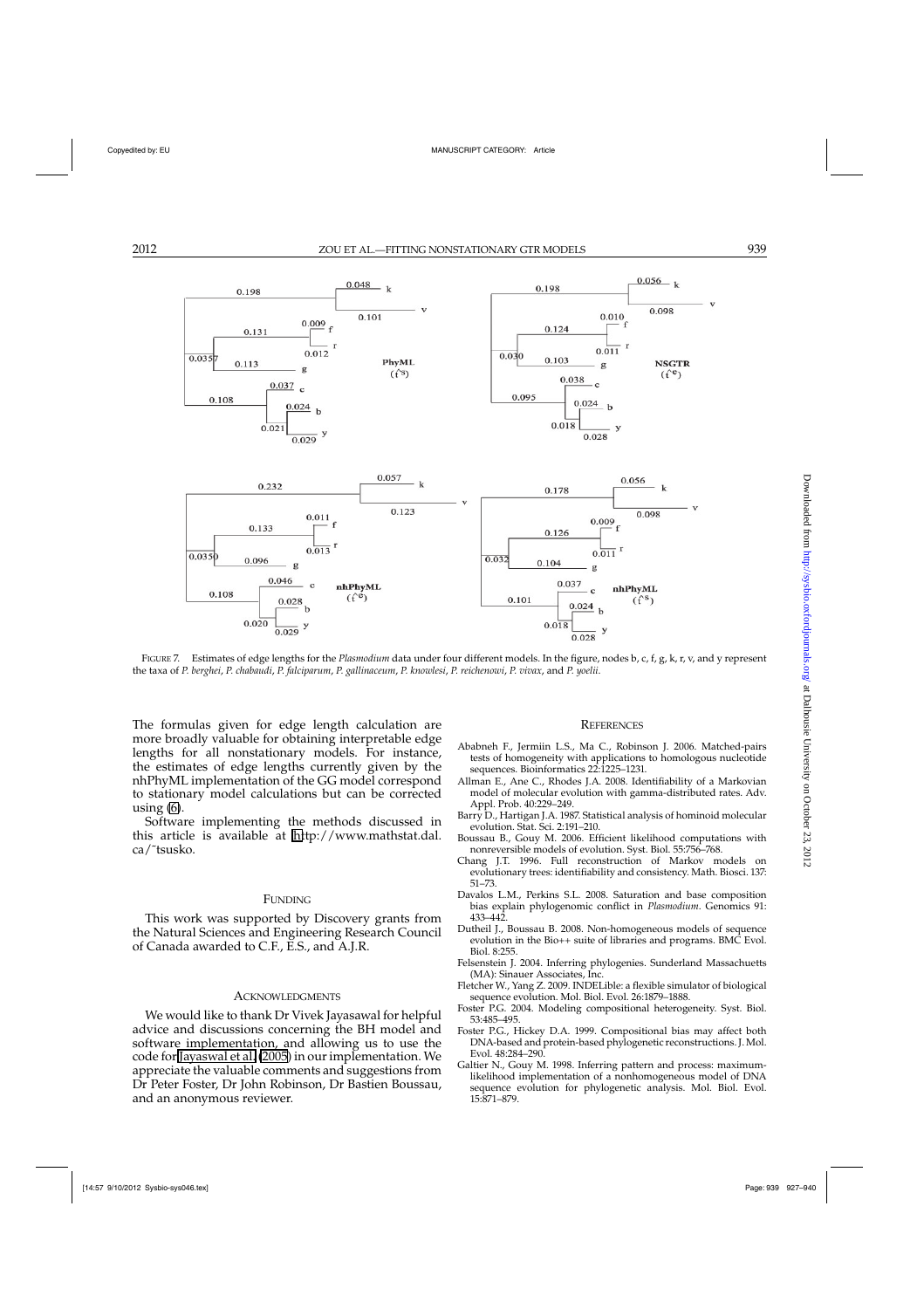<span id="page-12-0"></span>

FIGURE 7. Estimates of edge lengths for the *Plasmodium* data under four different models. In the figure, nodes b, c, f, g, k, r, v, and y represent the taxa of *P. berghei*, *P. chabaudi*, *P. falciparum*, *P. gallinaceum*, *P. knowlesi*, *P. reichenowi*, *P. vivax*, and *P. yoelii*.

The formulas given for edge length calculation are more broadly valuable for obtaining interpretable edge lengths for all nonstationary models. For instance, the estimates of edge lengths currently given by the nhPhyML implementation of the GG model correspond to stationary model calculations but can be corrected using  $(6)$ .

Software implementing the methods discussed in this article is available at [ht](http://www.mathstat.dal.ca/~tsusko.)tp://www.mathstat.dal. ca/˜tsusko.

## FUNDING

This work was supported by Discovery grants from the Natural Sciences and Engineering Research Council of Canada awarded to C.F., E.S., and A.J.R.

## **ACKNOWLEDGMENTS**

We would like to thank Dr Vivek Jayasawal for helpful advice and discussions concerning the BH model and software implementation, and allowing us to use the code for [Jayaswal et al.](#page-13-0) [\(2005](#page-13-0)) in our implementation. We appreciate the valuable comments and suggestions from Dr Peter Foster, Dr John Robinson, Dr Bastien Boussau, and an anonymous reviewer.

#### **REFERENCES**

- Ababneh F., Jermiin L.S., Ma C., Robinson J. 2006. Matched-pairs tests of homogeneity with applications to homologous nucleotide sequences. Bioinformatics 22:1225–1231.
- Allman E., Ane C., Rhodes J.A. 2008. Identifiability of a Markovian model of molecular evolution with gamma-distributed rates. Adv. Appl. Prob. 40:229–249.
- Barry D., Hartigan J.A. 1987. Statistical analysis of hominoid molecular evolution. Stat. Sci. 2:191–210.
- Boussau B., Gouy M. 2006. Efficient likelihood computations with nonreversible models of evolution. Syst. Biol. 55:756–768.
- Chang J.T. 1996. Full reconstruction of Markov models on evolutionary trees: identifiability and consistency. Math. Biosci. 137: 51–73.
- Davalos L.M., Perkins S.L. 2008. Saturation and base composition bias explain phylogenomic conflict in *Plasmodium*. Genomics 91: 433–442.
- Dutheil J., Boussau B. 2008. Non-homogeneous models of sequence evolution in the Bio++ suite of libraries and programs. BMC Evol. Biol. 8:255.
- Felsenstein J. 2004. Inferring phylogenies. Sunderland Massachuetts (MA): Sinauer Associates, Inc.
- Fletcher W., Yang Z. 2009. INDELible: a flexible simulator of biological sequence evolution. Mol. Biol. Evol. 26:1879–1888.
- Foster P.G. 2004. Modeling compositional heterogeneity. Syst. Biol. 53:485–495.
- Foster P.G., Hickey D.A. 1999. Compositional bias may affect both DNA-based and protein-based phylogenetic reconstructions. J. Mol. Evol. 48:284–290.
- Galtier N., Gouy M. 1998. Inferring pattern and process: maximumlikelihood implementation of a nonhomogeneous model of DNA sequence evolution for phylogenetic analysis. Mol. Biol. Evol. 15:871–879.